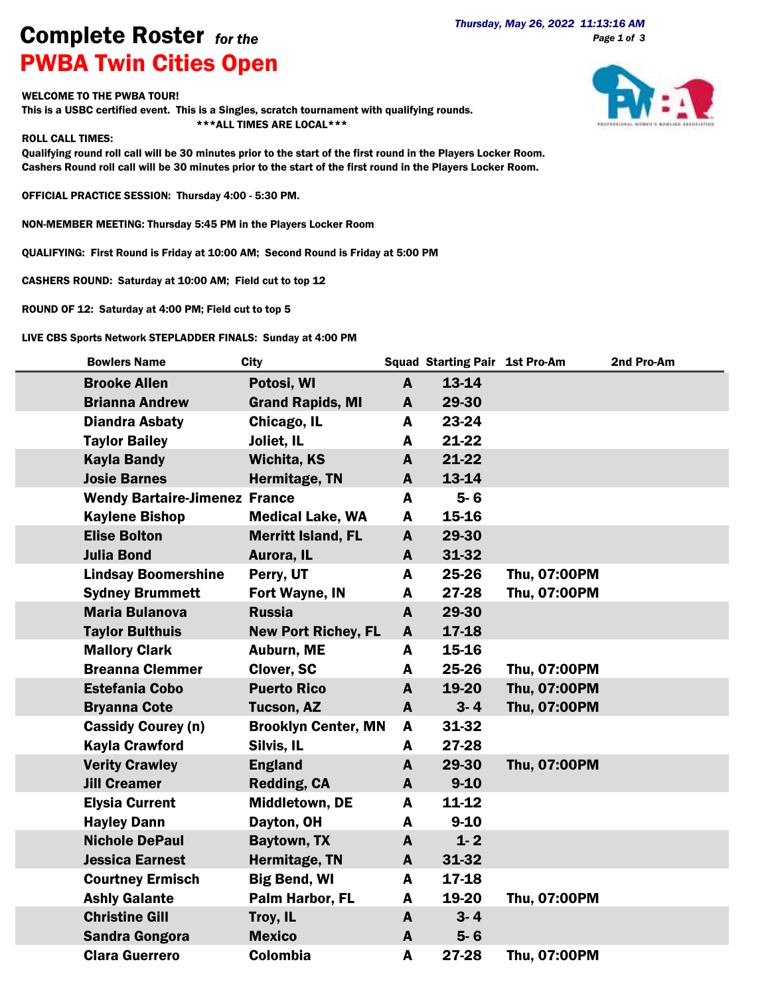## **Complete Roster** *for the Thursday, May 26, 2022 11:13:16 AM Page 1 of 3* PWBA Twin Cities Open

## WELCOME TO THE PWBA TOUR!

This is a USBC certified event. This is a Singles, scratch tournament with qualifying rounds. \*\*\*ALL TIMES ARE LOCAL\*\*\*

:17

## ROLL CALL TIMES:

Qualifying round roll call will be 30 minutes prior to the start of the first round in the Players Locker Room. Cashers Round roll call will be 30 minutes prior to the start of the first round in the Players Locker Room.

OFFICIAL PRACTICE SESSION: Thursday 4:00 - 5:30 PM.

NON-MEMBER MEETING: Thursday 5:45 PM in the Players Locker Room

QUALIFYING: First Round is Friday at 10:00 AM; Second Round is Friday at 5:00 PM

CASHERS ROUND: Saturday at 10:00 AM; Field cut to top 12

ROUND OF 12: Saturday at 4:00 PM; Field cut to top 5

LIVE CBS Sports Network STEPLADDER FINALS: Sunday at 4:00 PM

| <b>Bowlers Name</b>                  | <b>City</b>                |              | <b>Squad Starting Pair 1st Pro-Am</b> |              | 2nd Pro-Am |
|--------------------------------------|----------------------------|--------------|---------------------------------------|--------------|------------|
| <b>Brooke Allen</b>                  | Potosi, WI                 | $\mathbf{A}$ | 13-14                                 |              |            |
| <b>Brianna Andrew</b>                | <b>Grand Rapids, MI</b>    | A            | 29-30                                 |              |            |
| <b>Diandra Asbaty</b>                | Chicago, IL                | A            | 23-24                                 |              |            |
| <b>Taylor Bailey</b>                 | Joliet, IL                 | A            | 21-22                                 |              |            |
| <b>Kayla Bandy</b>                   | <b>Wichita, KS</b>         | A            | $21 - 22$                             |              |            |
| <b>Josie Barnes</b>                  | Hermitage, TN              | A            | 13-14                                 |              |            |
| <b>Wendy Bartaire-Jimenez France</b> |                            | A            | $5 - 6$                               |              |            |
| <b>Kaylene Bishop</b>                | <b>Medical Lake, WA</b>    | A            | 15-16                                 |              |            |
| <b>Elise Bolton</b>                  | <b>Merritt Island, FL</b>  | A            | 29-30                                 |              |            |
| <b>Julia Bond</b>                    | Aurora, IL                 | A            | 31-32                                 |              |            |
| <b>Lindsay Boomershine</b>           | Perry, UT                  | A            | 25-26                                 | Thu, 07:00PM |            |
| <b>Sydney Brummett</b>               | Fort Wayne, IN             | A            | 27-28                                 | Thu, 07:00PM |            |
| <b>Maria Bulanova</b>                | <b>Russia</b>              | A            | 29-30                                 |              |            |
| <b>Taylor Bulthuis</b>               | <b>New Port Richey, FL</b> | A            | $17 - 18$                             |              |            |
| <b>Mallory Clark</b>                 | Auburn, ME                 | A            | 15-16                                 |              |            |
| <b>Breanna Clemmer</b>               | Clover, SC                 | A            | 25-26                                 | Thu, 07:00PM |            |
| <b>Estefania Cobo</b>                | <b>Puerto Rico</b>         | A            | 19-20                                 | Thu, 07:00PM |            |
| <b>Bryanna Cote</b>                  | <b>Tucson, AZ</b>          | A            | $3 - 4$                               | Thu, 07:00PM |            |
| <b>Cassidy Courey (n)</b>            | <b>Brooklyn Center, MN</b> | A            | 31-32                                 |              |            |
| <b>Kayla Crawford</b>                | Silvis, IL                 | A            | 27-28                                 |              |            |
| <b>Verity Crawley</b>                | <b>England</b>             | A            | 29-30                                 | Thu, 07:00PM |            |
| <b>Jill Creamer</b>                  | Redding, CA                | $\mathbf{A}$ | $9 - 10$                              |              |            |
| <b>Elysia Current</b>                | Middletown, DE             | A            | $11 - 12$                             |              |            |
| <b>Hayley Dann</b>                   | Dayton, OH                 | A            | $9 - 10$                              |              |            |
| <b>Nichole DePaul</b>                | <b>Baytown, TX</b>         | A            | $1 - 2$                               |              |            |
| <b>Jessica Earnest</b>               | Hermitage, TN              | A            | 31-32                                 |              |            |
| <b>Courtney Ermisch</b>              | <b>Big Bend, WI</b>        | A            | 17-18                                 |              |            |
| <b>Ashly Galante</b>                 | Palm Harbor, FL            | A            | 19-20                                 | Thu, 07:00PM |            |
| <b>Christine Gill</b>                | Troy, IL                   | A            | $3 - 4$                               |              |            |
| <b>Sandra Gongora</b>                | <b>Mexico</b>              | A            | $5 - 6$                               |              |            |
| <b>Clara Guerrero</b>                | Colombia                   | A            | 27-28                                 | Thu, 07:00PM |            |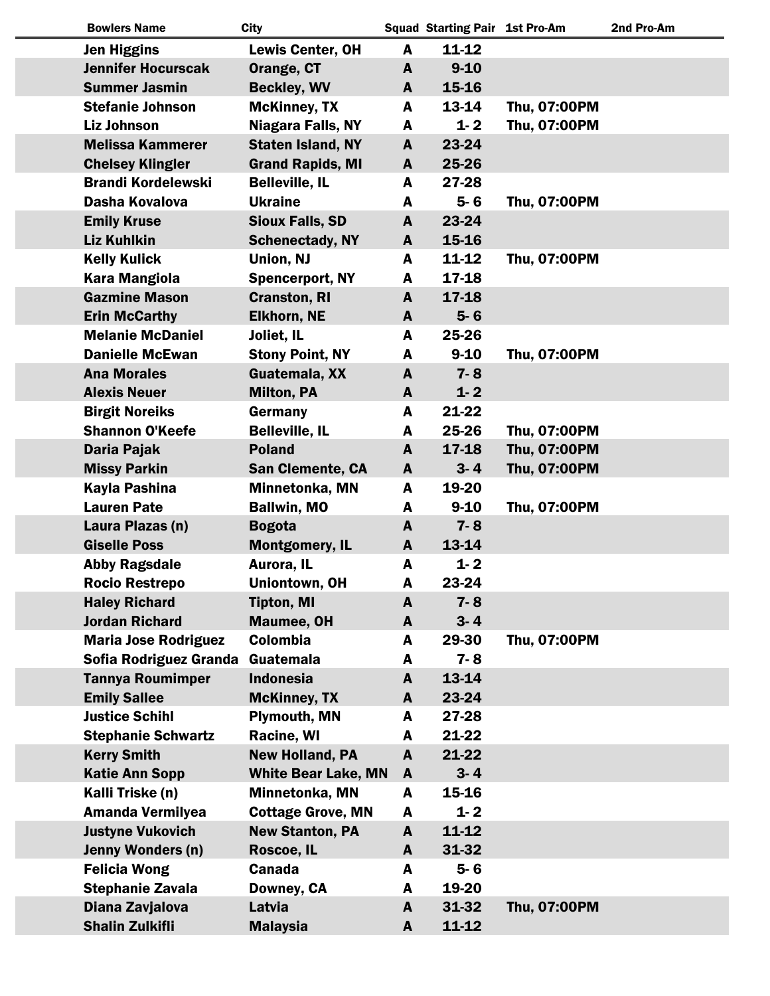| <b>Bowlers Name</b>         | <b>City</b>                |              | <b>Squad Starting Pair 1st Pro-Am</b> |              | 2nd Pro-Am |
|-----------------------------|----------------------------|--------------|---------------------------------------|--------------|------------|
| <b>Jen Higgins</b>          | <b>Lewis Center, OH</b>    | A            | $11 - 12$                             |              |            |
| <b>Jennifer Hocurscak</b>   | Orange, CT                 | A            | $9 - 10$                              |              |            |
| <b>Summer Jasmin</b>        | <b>Beckley, WV</b>         | A            | 15-16                                 |              |            |
| <b>Stefanie Johnson</b>     | <b>McKinney, TX</b>        | A            | 13-14                                 | Thu, 07:00PM |            |
| <b>Liz Johnson</b>          | <b>Niagara Falls, NY</b>   | A            | $1 - 2$                               | Thu, 07:00PM |            |
| <b>Melissa Kammerer</b>     | <b>Staten Island, NY</b>   | A            | 23-24                                 |              |            |
| <b>Chelsey Klingler</b>     | <b>Grand Rapids, MI</b>    | A            | 25-26                                 |              |            |
| <b>Brandi Kordelewski</b>   | <b>Belleville, IL</b>      | A            | 27-28                                 |              |            |
| Dasha Kovalova              | <b>Ukraine</b>             | A            | $5 - 6$                               | Thu, 07:00PM |            |
| <b>Emily Kruse</b>          | <b>Sioux Falls, SD</b>     | A            | 23-24                                 |              |            |
| <b>Liz Kuhlkin</b>          | <b>Schenectady, NY</b>     | A            | 15-16                                 |              |            |
| <b>Kelly Kulick</b>         | Union, NJ                  | A            | $11 - 12$                             | Thu, 07:00PM |            |
| <b>Kara Mangiola</b>        | <b>Spencerport, NY</b>     | A            | 17-18                                 |              |            |
| <b>Gazmine Mason</b>        | <b>Cranston, RI</b>        | A            | 17-18                                 |              |            |
| <b>Erin McCarthy</b>        | <b>Elkhorn, NE</b>         | A            | $5-6$                                 |              |            |
| <b>Melanie McDaniel</b>     | Joliet, IL                 | A            | 25-26                                 |              |            |
| <b>Danielle McEwan</b>      | <b>Stony Point, NY</b>     | A            | $9 - 10$                              | Thu, 07:00PM |            |
| <b>Ana Morales</b>          | Guatemala, XX              | A            | $7 - 8$                               |              |            |
| <b>Alexis Neuer</b>         | <b>Milton, PA</b>          | A            | $1 - 2$                               |              |            |
| <b>Birgit Noreiks</b>       | Germany                    | A            | 21-22                                 |              |            |
| <b>Shannon O'Keefe</b>      | <b>Belleville, IL</b>      | A            | 25-26                                 | Thu, 07:00PM |            |
| Daria Pajak                 | <b>Poland</b>              | A            | $17 - 18$                             | Thu, 07:00PM |            |
| <b>Missy Parkin</b>         | <b>San Clemente, CA</b>    | A            | $3 - 4$                               | Thu, 07:00PM |            |
| Kayla Pashina               | Minnetonka, MN             | A            | 19-20                                 |              |            |
| <b>Lauren Pate</b>          | <b>Ballwin, MO</b>         | A            | $9 - 10$                              | Thu, 07:00PM |            |
| Laura Plazas (n)            | <b>Bogota</b>              | A            | $7 - 8$                               |              |            |
| <b>Giselle Poss</b>         | <b>Montgomery, IL</b>      | A            | 13-14                                 |              |            |
| <b>Abby Ragsdale</b>        | Aurora, IL                 | A            | $1 - 2$                               |              |            |
| <b>Rocio Restrepo</b>       | Uniontown, OH              | A            | 23-24                                 |              |            |
| <b>Haley Richard</b>        | <b>Tipton, MI</b>          | A            | $7 - 8$                               |              |            |
| <b>Jordan Richard</b>       | Maumee, OH                 | A            | $3 - 4$                               |              |            |
| <b>Maria Jose Rodriguez</b> | Colombia                   | A            | 29-30                                 | Thu, 07:00PM |            |
| Sofia Rodriguez Granda      | Guatemala                  | A            | $7 - 8$                               |              |            |
| <b>Tannya Roumimper</b>     | <b>Indonesia</b>           | A            | 13-14                                 |              |            |
| <b>Emily Sallee</b>         | <b>McKinney, TX</b>        | A            | 23-24                                 |              |            |
| <b>Justice Schihl</b>       | <b>Plymouth, MN</b>        | A            | 27-28                                 |              |            |
| <b>Stephanie Schwartz</b>   | Racine, WI                 | A            | 21-22                                 |              |            |
| <b>Kerry Smith</b>          | <b>New Holland, PA</b>     | A            | 21-22                                 |              |            |
| <b>Katie Ann Sopp</b>       | <b>White Bear Lake, MN</b> | A            | $3 - 4$                               |              |            |
| Kalli Triske (n)            | Minnetonka, MN             | A            | 15-16                                 |              |            |
| <b>Amanda Vermilyea</b>     | <b>Cottage Grove, MN</b>   | A            | $1 - 2$                               |              |            |
| <b>Justyne Vukovich</b>     | <b>New Stanton, PA</b>     | $\mathbf{A}$ | $11 - 12$                             |              |            |
| <b>Jenny Wonders (n)</b>    | Roscoe, IL                 | A            | 31-32                                 |              |            |
| <b>Felicia Wong</b>         | <b>Canada</b>              | A            | $5 - 6$                               |              |            |
| <b>Stephanie Zavala</b>     | Downey, CA                 | A            | 19-20                                 |              |            |
| Diana Zavjalova             | Latvia                     | A            | 31-32                                 | Thu, 07:00PM |            |
| <b>Shalin Zulkifli</b>      | <b>Malaysia</b>            | A            | $11 - 12$                             |              |            |
|                             |                            |              |                                       |              |            |

 $\overline{\phantom{a}}$ 

 $\overline{\phantom{a}}$